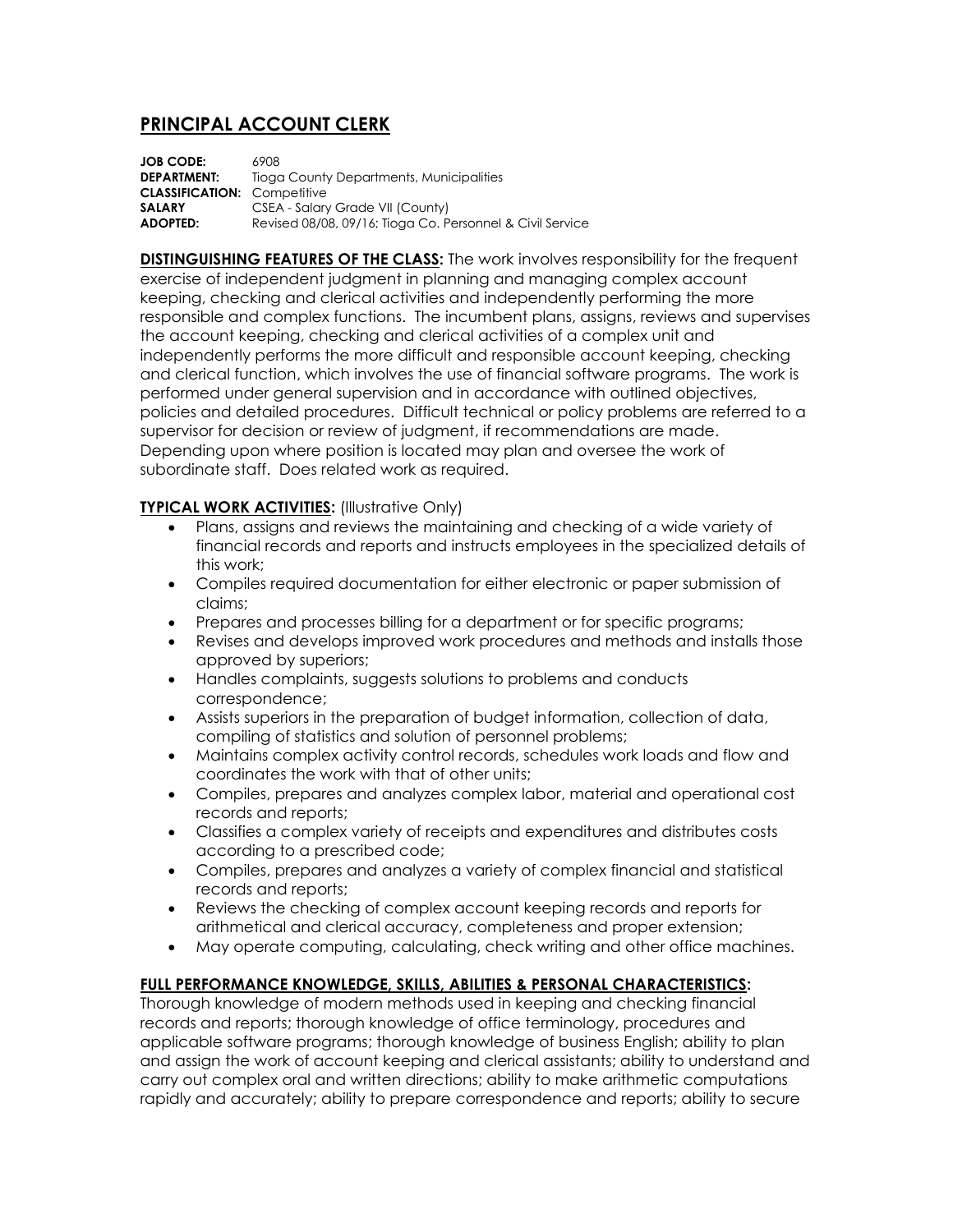## **PRINCIPAL ACCOUNT CLERK**

**JOB CODE:** 6908 **DEPARTMENT:** Tioga County Departments, Municipalities **CLASSIFICATION:** Competitive **SALARY** CSEA - Salary Grade VII (County) **ADOPTED:** Revised 08/08, 09/16; Tioga Co. Personnel & Civil Service

**DISTINGUISHING FEATURES OF THE CLASS:** The work involves responsibility for the frequent exercise of independent judgment in planning and managing complex account keeping, checking and clerical activities and independently performing the more responsible and complex functions. The incumbent plans, assigns, reviews and supervises the account keeping, checking and clerical activities of a complex unit and independently performs the more difficult and responsible account keeping, checking and clerical function, which involves the use of financial software programs. The work is performed under general supervision and in accordance with outlined objectives, policies and detailed procedures. Difficult technical or policy problems are referred to a supervisor for decision or review of judgment, if recommendations are made. Depending upon where position is located may plan and oversee the work of subordinate staff. Does related work as required.

## **TYPICAL WORK ACTIVITIES:** (Illustrative Only)

- Plans, assigns and reviews the maintaining and checking of a wide variety of financial records and reports and instructs employees in the specialized details of this work;
- Compiles required documentation for either electronic or paper submission of claims;
- Prepares and processes billing for a department or for specific programs;
- Revises and develops improved work procedures and methods and installs those approved by superiors;
- Handles complaints, suggests solutions to problems and conducts correspondence;
- Assists superiors in the preparation of budget information, collection of data, compiling of statistics and solution of personnel problems;
- Maintains complex activity control records, schedules work loads and flow and coordinates the work with that of other units;
- Compiles, prepares and analyzes complex labor, material and operational cost records and reports;
- Classifies a complex variety of receipts and expenditures and distributes costs according to a prescribed code;
- Compiles, prepares and analyzes a variety of complex financial and statistical records and reports;
- Reviews the checking of complex account keeping records and reports for arithmetical and clerical accuracy, completeness and proper extension;
- May operate computing, calculating, check writing and other office machines.

## **FULL PERFORMANCE KNOWLEDGE, SKILLS, ABILITIES & PERSONAL CHARACTERISTICS:**

Thorough knowledge of modern methods used in keeping and checking financial records and reports; thorough knowledge of office terminology, procedures and applicable software programs; thorough knowledge of business English; ability to plan and assign the work of account keeping and clerical assistants; ability to understand and carry out complex oral and written directions; ability to make arithmetic computations rapidly and accurately; ability to prepare correspondence and reports; ability to secure